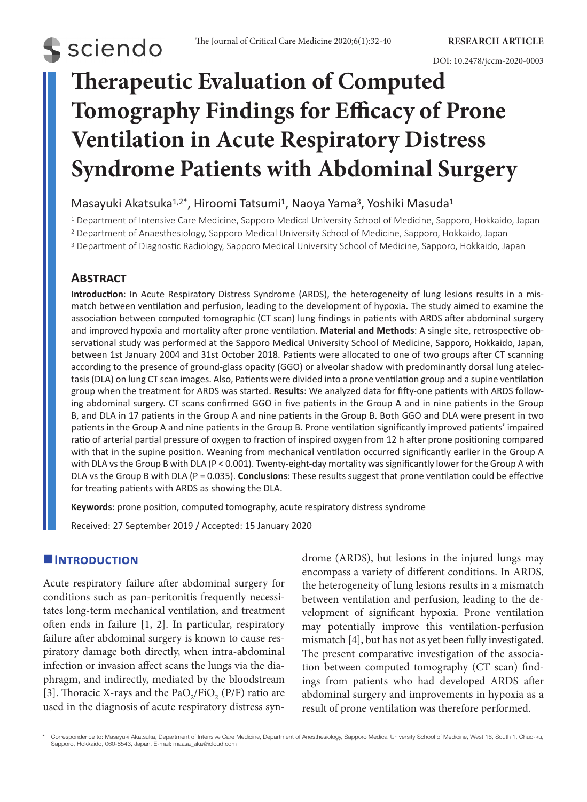# **Therapeutic Evaluation of Computed Tomography Findings for Efficacy of Prone Ventilation in Acute Respiratory Distress Syndrome Patients with Abdominal Surgery**

# Masayuki Akatsuka<sup>1,2\*</sup>, Hiroomi Tatsumi<sup>1</sup>, Naoya Yama<sup>3</sup>, Yoshiki Masuda<sup>1</sup>

1 Department of Intensive Care Medicine, Sapporo Medical University School of Medicine, Sapporo, Hokkaido, Japan

2 Department of Anaesthesiology, Sapporo Medical University School of Medicine, Sapporo, Hokkaido, Japan

<sup>3</sup> Department of Diagnostic Radiology, Sapporo Medical University School of Medicine, Sapporo, Hokkaido, Japan

# **Abstract**

**S** sciendo

**Introduction**: In Acute Respiratory Distress Syndrome (ARDS), the heterogeneity of lung lesions results in a mismatch between ventilation and perfusion, leading to the development of hypoxia. The study aimed to examine the association between computed tomographic (CT scan) lung findings in patients with ARDS after abdominal surgery and improved hypoxia and mortality after prone ventilation. **Material and Methods**: A single site, retrospective observational study was performed at the Sapporo Medical University School of Medicine, Sapporo, Hokkaido, Japan, between 1st January 2004 and 31st October 2018. Patients were allocated to one of two groups after CT scanning according to the presence of ground-glass opacity (GGO) or alveolar shadow with predominantly dorsal lung atelectasis (DLA) on lung CT scan images. Also, Patients were divided into a prone ventilation group and a supine ventilation group when the treatment for ARDS was started. **Results**: We analyzed data for fifty-one patients with ARDS following abdominal surgery. CT scans confirmed GGO in five patients in the Group A and in nine patients in the Group B, and DLA in 17 patients in the Group A and nine patients in the Group B. Both GGO and DLA were present in two patients in the Group A and nine patients in the Group B. Prone ventilation significantly improved patients' impaired ratio of arterial partial pressure of oxygen to fraction of inspired oxygen from 12 h after prone positioning compared with that in the supine position. Weaning from mechanical ventilation occurred significantly earlier in the Group A with DLA vs the Group B with DLA (P < 0.001). Twenty-eight-day mortality was significantly lower for the Group A with DLA vs the Group B with DLA (P = 0.035). **Conclusions**: These results suggest that prone ventilation could be effective for treating patients with ARDS as showing the DLA.

**Keywords**: prone position, computed tomography, acute respiratory distress syndrome

Received: 27 September 2019 / Accepted: 15 January 2020

# **Introduction**

Acute respiratory failure after abdominal surgery for conditions such as pan-peritonitis frequently necessitates long-term mechanical ventilation, and treatment often ends in failure [1, 2]. In particular, respiratory failure after abdominal surgery is known to cause respiratory damage both directly, when intra-abdominal infection or invasion affect scans the lungs via the diaphragm, and indirectly, mediated by the bloodstream [3]. Thoracic X-rays and the  $PaO<sub>2</sub>/FiO<sub>2</sub>$  (P/F) ratio are used in the diagnosis of acute respiratory distress syndrome (ARDS), but lesions in the injured lungs may encompass a variety of different conditions. In ARDS, the heterogeneity of lung lesions results in a mismatch between ventilation and perfusion, leading to the development of significant hypoxia. Prone ventilation may potentially improve this ventilation-perfusion mismatch [4], but has not as yet been fully investigated. The present comparative investigation of the association between computed tomography (CT scan) findings from patients who had developed ARDS after abdominal surgery and improvements in hypoxia as a result of prone ventilation was therefore performed.

<sup>\*</sup> Correspondence to: Masayuki Akatsuka, Department of Intensive Care Medicine, Department of Anesthesiology, Sapporo Medical University School of Medicine, West 16, South 1, Chuo-ku,<br>Sapporo, Hokkaido, 060-8543, Japan. E-m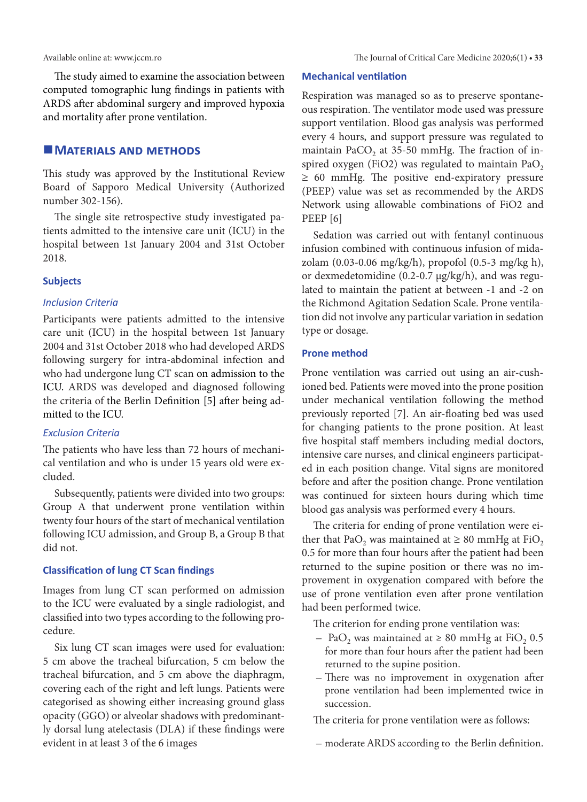The study aimed to examine the association between computed tomographic lung findings in patients with ARDS after abdominal surgery and improved hypoxia and mortality after prone ventilation.

# **MATERIALS AND METHODS**

This study was approved by the Institutional Review Board of Sapporo Medical University (Authorized number 302-156).

The single site retrospective study investigated patients admitted to the intensive care unit (ICU) in the hospital between 1st January 2004 and 31st October 2018.

#### **Subjects**

# *Inclusion Criteria*

Participants were patients admitted to the intensive care unit (ICU) in the hospital between 1st January 2004 and 31st October 2018 who had developed ARDS following surgery for intra-abdominal infection and who had undergone lung CT scan on admission to the ICU. ARDS was developed and diagnosed following the criteria of the Berlin Definition [5] after being admitted to the ICU.

#### *Exclusion Criteria*

The patients who have less than 72 hours of mechanical ventilation and who is under 15 years old were excluded.

Subsequently, patients were divided into two groups: Group A that underwent prone ventilation within twenty four hours of the start of mechanical ventilation following ICU admission, and Group B, a Group B that did not.

# **Classification of lung CT Scan findings**

Images from lung CT scan performed on admission to the ICU were evaluated by a single radiologist, and classified into two types according to the following procedure.

Six lung CT scan images were used for evaluation: 5 cm above the tracheal bifurcation, 5 cm below the tracheal bifurcation, and 5 cm above the diaphragm, covering each of the right and left lungs. Patients were categorised as showing either increasing ground glass opacity (GGO) or alveolar shadows with predominantly dorsal lung atelectasis (DLA) if these findings were evident in at least 3 of the 6 images

#### **Mechanical ventilation**

Respiration was managed so as to preserve spontaneous respiration. The ventilator mode used was pressure support ventilation. Blood gas analysis was performed every 4 hours, and support pressure was regulated to maintain PaCO<sub>2</sub> at 35-50 mmHg. The fraction of inspired oxygen (FiO2) was regulated to maintain  $PaO<sub>2</sub>$ ≥ 60 mmHg. The positive end-expiratory pressure (PEEP) value was set as recommended by the ARDS Network using allowable combinations of FiO2 and PEEP [6]

Sedation was carried out with fentanyl continuous infusion combined with continuous infusion of midazolam (0.03-0.06 mg/kg/h), propofol (0.5-3 mg/kg h), or dexmedetomidine (0.2-0.7 μg/kg/h), and was regulated to maintain the patient at between -1 and -2 on the Richmond Agitation Sedation Scale. Prone ventilation did not involve any particular variation in sedation type or dosage.

# **Prone method**

Prone ventilation was carried out using an air-cushioned bed. Patients were moved into the prone position under mechanical ventilation following the method previously reported [7]. An air-floating bed was used for changing patients to the prone position. At least five hospital staff members including medial doctors, intensive care nurses, and clinical engineers participated in each position change. Vital signs are monitored before and after the position change. Prone ventilation was continued for sixteen hours during which time blood gas analysis was performed every 4 hours.

The criteria for ending of prone ventilation were either that PaO<sub>2</sub> was maintained at  $\geq 80$  mmHg at FiO<sub>2</sub> 0.5 for more than four hours after the patient had been returned to the supine position or there was no improvement in oxygenation compared with before the use of prone ventilation even after prone ventilation had been performed twice.

The criterion for ending prone ventilation was:

- PaO<sub>2</sub> was maintained at  $\geq 80$  mmHg at FiO<sub>2</sub> 0.5 for more than four hours after the patient had been returned to the supine position.
- There was no improvement in oxygenation after prone ventilation had been implemented twice in succession.

The criteria for prone ventilation were as follows:

– moderate ARDS according to the Berlin definition.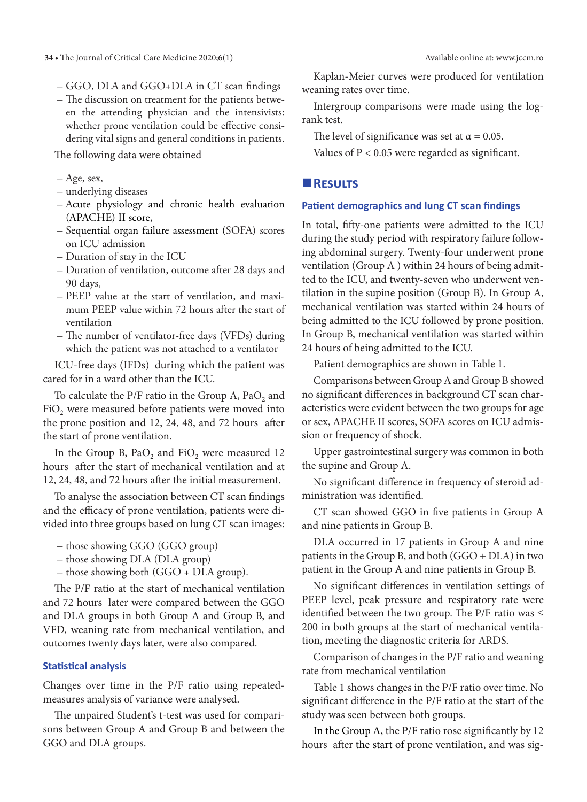- GGO, DLA and GGO+DLA in CT scan findings
- The discussion on treatment for the patients between the attending physician and the intensivists: whether prone ventilation could be effective considering vital signs and general conditions in patients.

The following data were obtained

- Age, sex,
- underlying diseases
- Acute physiology and chronic health evaluation (APACHE) II score,
- Sequential organ failure assessment (SOFA) scores on ICU admission
- Duration of stay in the ICU
- Duration of ventilation, outcome after 28 days and 90 days,
- PEEP value at the start of ventilation, and maximum PEEP value within 72 hours after the start of ventilation
- The number of ventilator-free days (VFDs) during which the patient was not attached to a ventilator

ICU-free days (IFDs) during which the patient was cared for in a ward other than the ICU.

To calculate the P/F ratio in the Group A, PaO, and  $FiO<sub>2</sub>$  were measured before patients were moved into the prone position and 12, 24, 48, and 72 hours after the start of prone ventilation.

In the Group B,  $PaO<sub>2</sub>$  and FiO<sub>2</sub> were measured 12 hours after the start of mechanical ventilation and at 12, 24, 48, and 72 hours after the initial measurement.

To analyse the association between CT scan findings and the efficacy of prone ventilation, patients were divided into three groups based on lung CT scan images:

- those showing GGO (GGO group)
- those showing DLA (DLA group)
- those showing both (GGO + DLA group).

The P/F ratio at the start of mechanical ventilation and 72 hours later were compared between the GGO and DLA groups in both Group A and Group B, and VFD, weaning rate from mechanical ventilation, and outcomes twenty days later, were also compared.

# **Statistical analysis**

Changes over time in the P/F ratio using repeatedmeasures analysis of variance were analysed.

The unpaired Student's t-test was used for comparisons between Group A and Group B and between the GGO and DLA groups.

Kaplan-Meier curves were produced for ventilation weaning rates over time.

Intergroup comparisons were made using the logrank test.

The level of significance was set at  $\alpha = 0.05$ .

Values of P < 0.05 were regarded as significant.

# **Results**

#### **Patient demographics and lung CT scan findings**

In total, fifty-one patients were admitted to the ICU during the study period with respiratory failure following abdominal surgery. Twenty-four underwent prone ventilation (Group A ) within 24 hours of being admitted to the ICU, and twenty-seven who underwent ventilation in the supine position (Group B). In Group A, mechanical ventilation was started within 24 hours of being admitted to the ICU followed by prone position. In Group B, mechanical ventilation was started within 24 hours of being admitted to the ICU.

Patient demographics are shown in Table 1.

Comparisons between Group A and Group B showed no significant differences in background CT scan characteristics were evident between the two groups for age or sex, APACHE II scores, SOFA scores on ICU admission or frequency of shock.

Upper gastrointestinal surgery was common in both the supine and Group A.

No significant difference in frequency of steroid administration was identified.

CT scan showed GGO in five patients in Group A and nine patients in Group B.

DLA occurred in 17 patients in Group A and nine patients in the Group B, and both (GGO + DLA) in two patient in the Group A and nine patients in Group B.

No significant differences in ventilation settings of PEEP level, peak pressure and respiratory rate were identified between the two group. The P/F ratio was  $\leq$ 200 in both groups at the start of mechanical ventilation, meeting the diagnostic criteria for ARDS.

Comparison of changes in the P/F ratio and weaning rate from mechanical ventilation

Table 1 shows changes in the P/F ratio over time. No significant difference in the P/F ratio at the start of the study was seen between both groups.

In the Group A, the P/F ratio rose significantly by 12 hours after the start of prone ventilation, and was sig-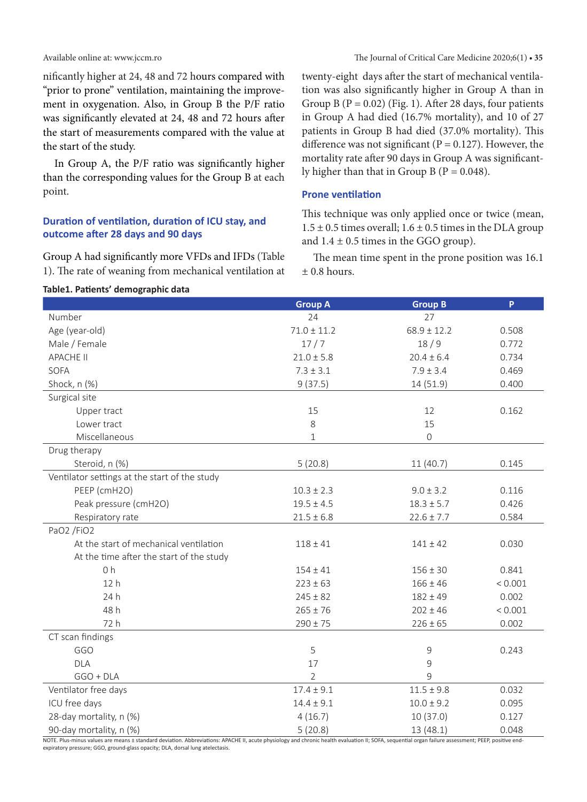nificantly higher at 24, 48 and 72 hours compared with "prior to prone" ventilation, maintaining the improvement in oxygenation. Also, in Group B the P/F ratio was significantly elevated at 24, 48 and 72 hours after the start of measurements compared with the value at the start of the study.

In Group A, the P/F ratio was significantly higher than the corresponding values for the Group B at each point.

# **Duration of ventilation, duration of ICU stay, and outcome after 28 days and 90 days**

Group A had significantly more VFDs and IFDs (Table 1). The rate of weaning from mechanical ventilation at twenty-eight days after the start of mechanical ventilation was also significantly higher in Group A than in Group B ( $P = 0.02$ ) (Fig. 1). After 28 days, four patients in Group A had died (16.7% mortality), and 10 of 27 patients in Group B had died (37.0% mortality). This difference was not significant ( $P = 0.127$ ). However, the mortality rate after 90 days in Group A was significantly higher than that in Group B ( $P = 0.048$ ).

# **Prone ventilation**

**Group A Group B P**

This technique was only applied once or twice (mean,  $1.5 \pm 0.5$  times overall;  $1.6 \pm 0.5$  times in the DLA group and  $1.4 \pm 0.5$  times in the GGO group).

The mean time spent in the prone position was 16.1  $±$  0.8 hours.

#### **Table1. Patients' demographic data**

| Number                                                                                                                                                                                                                      | 24              | 27              |         |
|-----------------------------------------------------------------------------------------------------------------------------------------------------------------------------------------------------------------------------|-----------------|-----------------|---------|
| Age (year-old)                                                                                                                                                                                                              | $71.0 \pm 11.2$ | $68.9 \pm 12.2$ | 0.508   |
| Male / Female                                                                                                                                                                                                               | 17/7            | 18/9            | 0.772   |
| <b>APACHE II</b>                                                                                                                                                                                                            | $21.0 \pm 5.8$  | $20.4 \pm 6.4$  | 0.734   |
| SOFA                                                                                                                                                                                                                        | $7.3 \pm 3.1$   | $7.9 \pm 3.4$   | 0.469   |
| Shock, n (%)                                                                                                                                                                                                                | 9(37.5)         | 14 (51.9)       | 0.400   |
| Surgical site                                                                                                                                                                                                               |                 |                 |         |
| Upper tract                                                                                                                                                                                                                 | 15              | 12              | 0.162   |
| Lower tract                                                                                                                                                                                                                 | 8               | 15              |         |
| Miscellaneous                                                                                                                                                                                                               | $\mathbf{1}$    | $\mathsf{O}$    |         |
| Drug therapy                                                                                                                                                                                                                |                 |                 |         |
| Steroid, n (%)                                                                                                                                                                                                              | 5(20.8)         | 11 (40.7)       | 0.145   |
| Ventilator settings at the start of the study                                                                                                                                                                               |                 |                 |         |
| PEEP (cmH2O)                                                                                                                                                                                                                | $10.3 \pm 2.3$  | $9.0 \pm 3.2$   | 0.116   |
| Peak pressure (cmH2O)                                                                                                                                                                                                       | $19.5 \pm 4.5$  | $18.3 \pm 5.7$  | 0.426   |
| Respiratory rate                                                                                                                                                                                                            | $21.5 \pm 6.8$  | $22.6 \pm 7.7$  | 0.584   |
| PaO2 /FiO2                                                                                                                                                                                                                  |                 |                 |         |
| At the start of mechanical ventilation                                                                                                                                                                                      | $118 + 41$      | $141 \pm 42$    | 0.030   |
| At the time after the start of the study                                                                                                                                                                                    |                 |                 |         |
| 0 <sub>h</sub>                                                                                                                                                                                                              | $154 \pm 41$    | $156 \pm 30$    | 0.841   |
| 12h                                                                                                                                                                                                                         | $223 \pm 63$    | $166 \pm 46$    | < 0.001 |
| 24 h                                                                                                                                                                                                                        | $245 \pm 82$    | $182 \pm 49$    | 0.002   |
| 48 h                                                                                                                                                                                                                        | $265 \pm 76$    | $202 \pm 46$    | < 0.001 |
| 72 h                                                                                                                                                                                                                        | $290 \pm 75$    | $226 \pm 65$    | 0.002   |
| CT scan findings                                                                                                                                                                                                            |                 |                 |         |
| GGO                                                                                                                                                                                                                         | 5               | 9               | 0.243   |
| <b>DLA</b>                                                                                                                                                                                                                  | 17              | 9               |         |
| $GGO + DLA$                                                                                                                                                                                                                 | $\overline{2}$  | 9               |         |
| Ventilator free days                                                                                                                                                                                                        | $17.4 \pm 9.1$  | $11.5 \pm 9.8$  | 0.032   |
| ICU free days                                                                                                                                                                                                               | $14.4 \pm 9.1$  | $10.0 \pm 9.2$  | 0.095   |
| 28-day mortality, n (%)                                                                                                                                                                                                     | 4(16.7)         | 10(37.0)        | 0.127   |
| 90-day mortality, n (%)<br>NOTE Plus-minus values are means + standard deviation. Abbreviations: APACHE II acute physiology and chronic health evaluation II: SOEA, sequential organ failure assessment: PEEP nositive end- | 5(20.8)         | 13 (48.1)       | 0.048   |

NOTE. Plus-minus values are means ± standard deviation. Abbreviations: APACHE II, acute physiology and chronic health evaluation II; SOFA, sequential organ failure assessment; PEEP, positive endexpiratory pressure; GGO, ground-glass opacity; DLA, dorsal lung atelectasis.

#### Available online at: www.jccm.ro The Journal of Critical Care Medicine 2020;6(1) **• 35**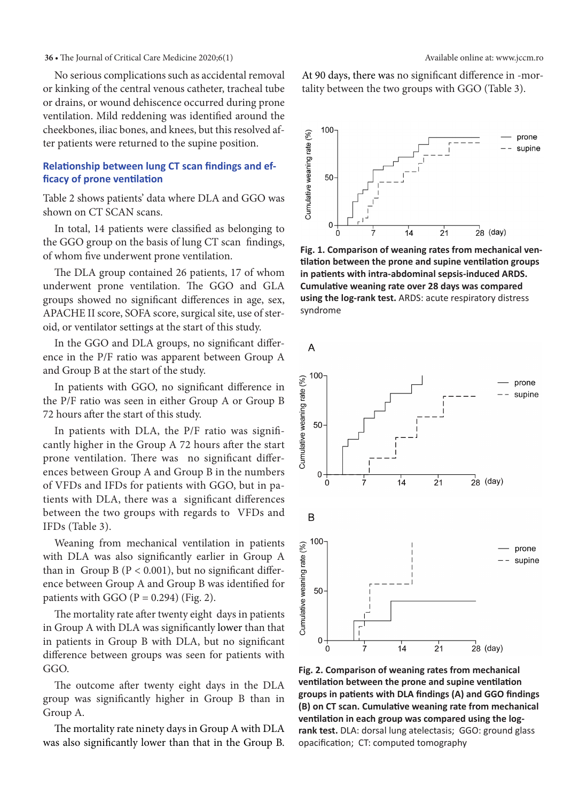#### **36 •** The Journal of Critical Care Medicine 2020;6(1) Available online at: www.jccm.ro

No serious complications such as accidental removal or kinking of the central venous catheter, tracheal tube or drains, or wound dehiscence occurred during prone ventilation. Mild reddening was identified around the cheekbones, iliac bones, and knees, but this resolved after patients were returned to the supine position.

# **Relationship between lung CT scan findings and efficacy of prone ventilation**

Table 2 shows patients' data where DLA and GGO was shown on CT SCAN scans.

In total, 14 patients were classified as belonging to the GGO group on the basis of lung CT scan findings, of whom five underwent prone ventilation.

The DLA group contained 26 patients, 17 of whom underwent prone ventilation. The GGO and GLA groups showed no significant differences in age, sex, APACHE II score, SOFA score, surgical site, use of steroid, or ventilator settings at the start of this study.

In the GGO and DLA groups, no significant difference in the P/F ratio was apparent between Group A and Group B at the start of the study.

In patients with GGO, no significant difference in the P/F ratio was seen in either Group A or Group B 72 hours after the start of this study.

In patients with DLA, the P/F ratio was significantly higher in the Group A 72 hours after the start prone ventilation. There was no significant differences between Group A and Group B in the numbers of VFDs and IFDs for patients with GGO, but in patients with DLA, there was a significant differences between the two groups with regards to VFDs and IFDs (Table 3).

Weaning from mechanical ventilation in patients with DLA was also significantly earlier in Group A than in Group B ( $P < 0.001$ ), but no significant difference between Group A and Group B was identified for patients with GGO  $(P = 0.294)$  (Fig. 2).

The mortality rate after twenty eight days in patients in Group A with DLA was significantly lower than that in patients in Group B with DLA, but no significant difference between groups was seen for patients with GGO.

The outcome after twenty eight days in the DLA group was significantly higher in Group B than in Group A.

The mortality rate ninety days in Group A with DLA was also significantly lower than that in the Group B. At 90 days, there was no significant difference in -mortality between the two groups with GGO (Table 3).



**Fig. 1. Comparison of weaning rates from mechanical ventilation between the prone and supine ventilation groups in patients with intra-abdominal sepsis-induced ARDS. Cumulative weaning rate over 28 days was compared using the log-rank test.** ARDS: acute respiratory distress syndrome

 $\overline{A}$ 



**Fig. 2. Comparison of weaning rates from mechanical ventilation between the prone and supine ventilation groups in patients with DLA findings (A) and GGO findings (B) on CT scan. Cumulative weaning rate from mechanical ventilation in each group was compared using the logrank test.** DLA: dorsal lung atelectasis; GGO: ground glass opacification; CT: computed tomography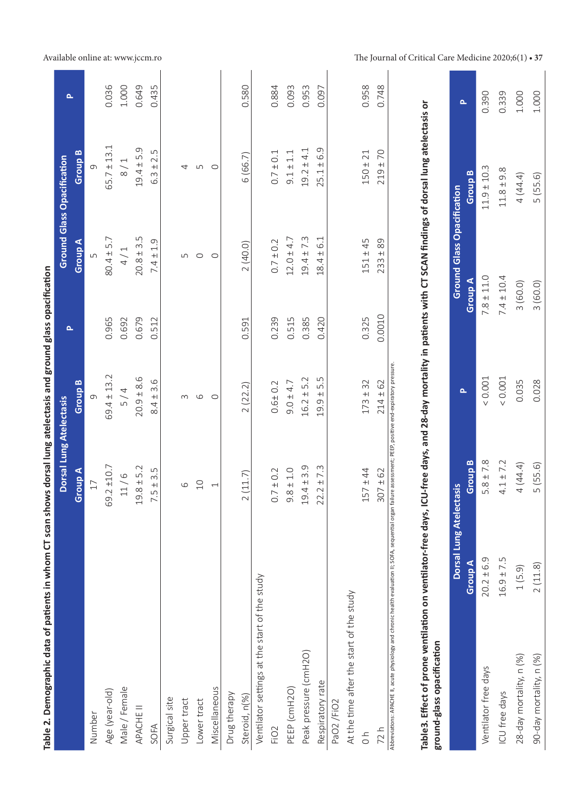| Table 2. Demographic data of patients in whom CT scan shows dorsal lung atelectasis and ground glass opacification                                                                             |                         |                                                                   |                    |        |                                   |                                   |       |
|------------------------------------------------------------------------------------------------------------------------------------------------------------------------------------------------|-------------------------|-------------------------------------------------------------------|--------------------|--------|-----------------------------------|-----------------------------------|-------|
|                                                                                                                                                                                                |                         | Dorsal Lung Atelectasis                                           |                    | Δ.     |                                   | <b>Ground Glass Opacification</b> | Δ.    |
|                                                                                                                                                                                                |                         | Group A                                                           | Group <sub>B</sub> |        | Group A                           | Group <sub>B</sub>                |       |
| Number                                                                                                                                                                                         |                         | 17                                                                | თ                  |        | ഗ                                 |                                   |       |
| Age (year-old)                                                                                                                                                                                 |                         | 69.2 ±10.7                                                        | $69.4 \pm 13.2$    | 0.965  | $80.4 \pm 5.7$                    | $65.7 \pm 13.1$                   | 0.036 |
| Male / Female                                                                                                                                                                                  |                         | 11/6                                                              | 5/4                | 0.692  | 4/1                               | 8/1                               | 1.000 |
| APACHE II                                                                                                                                                                                      |                         | $19.8 \pm 5.2$                                                    | $20.9 \pm 8.6$     | 0.679  | $20.8 \pm 3.5$                    | $19.4 \pm 5.9$                    | 0.649 |
| SOFA                                                                                                                                                                                           |                         | 3.5<br>7.5±                                                       | $8.4 \pm 3.6$      | 0.512  | $7.4 \pm 1.9$                     | 2.5<br>$6.3 +$                    | 0.435 |
| Surgical site                                                                                                                                                                                  |                         |                                                                   |                    |        |                                   |                                   |       |
| Upper tract                                                                                                                                                                                    |                         | 6                                                                 | $\sim$             |        | 5                                 | 4                                 |       |
| Lower tract                                                                                                                                                                                    |                         | 10                                                                | 6                  |        | $\circ$                           | Б                                 |       |
| Miscellaneous                                                                                                                                                                                  |                         | $\overline{\phantom{0}}$                                          | $\circ$            |        | $\circ$                           | $\circ$                           |       |
| Drug therapy                                                                                                                                                                                   |                         |                                                                   |                    |        |                                   |                                   |       |
| Steroid, n(%)                                                                                                                                                                                  |                         | 2(11.7)                                                           | 2(22.2)            | 0.591  | 2(40.0)                           | 6 (66.7)                          | 0.580 |
| Ventilator settings at the start of the study                                                                                                                                                  |                         |                                                                   |                    |        |                                   |                                   |       |
| FiO <sub>2</sub>                                                                                                                                                                               |                         | $0.7 \pm 0.2$                                                     | $0.6 + 0.2$        | 0.239  | $0.7 \pm 0.2$                     | $0.7 \pm 0.1$                     | 0.884 |
| PEEP (cmH2O)                                                                                                                                                                                   |                         | $9.8 \pm 1.0$                                                     | $9.0 \pm 4.7$      | 0.515  | $12.0 \pm 4.7$                    | $9.1 \pm 1.1$                     | 0.093 |
| Peak pressure (cmH2O)                                                                                                                                                                          |                         | $19.4 \pm 3.9$                                                    | $16.2 \pm 5.2$     | 0.385  | $19.4 \pm 7.3$                    | $19.2 \pm 4.1$                    | 0.953 |
| Respiratory rate                                                                                                                                                                               |                         | $22.2 \pm 7.3$                                                    | $19.9 \pm 5.5$     | 0.420  | 6.1<br>$18.4 \pm$                 | $25.1 \pm 6.9$                    | 0.097 |
| PaO2/FiO2                                                                                                                                                                                      |                         |                                                                   |                    |        |                                   |                                   |       |
| At the time after the start of the study                                                                                                                                                       |                         |                                                                   |                    |        |                                   |                                   |       |
| $\frac{1}{0}$                                                                                                                                                                                  |                         | $157 + 44$                                                        | $173 \pm 32$       | 0.325  | $151 \pm 45$                      | $150 \pm 21$                      | 0.958 |
| 72h                                                                                                                                                                                            |                         | $307 \pm 62$                                                      | $214 \pm 62$       | 0.0010 | $233 \pm 89$                      | $219 \pm 70$                      | 0.748 |
| Abbreviations: APACHE II, acute physiology and chronic health evaluation II; SOFA, sequential                                                                                                  |                         | organ failure assessment; PEEP, positive end-expiratory pressure. |                    |        |                                   |                                   |       |
|                                                                                                                                                                                                |                         |                                                                   |                    |        |                                   |                                   |       |
| Table3. Effect of prone ventilation on ventilator-free days, ICU-free days, and 28-day mortality in patients with CT SCAN findings of dorsal lung atelectasis or<br>ground-glass opacification |                         |                                                                   |                    |        |                                   |                                   |       |
|                                                                                                                                                                                                | Dorsal Lung Atelectasis |                                                                   | Δ.                 |        | <b>Ground Glass Opacification</b> |                                   | Δ.    |
|                                                                                                                                                                                                | Group A                 | <b>Group B</b>                                                    |                    |        | Group A                           | <b>Group B</b>                    |       |
| Ventilator free days                                                                                                                                                                           | $20.2 \pm 6.9$          | $5.8 \pm 7.8$                                                     | < 0.001            |        | $7.8 \pm 11.0$                    | $11.9 \pm 10.3$                   | 0.390 |
| ICU free days                                                                                                                                                                                  | $16.9 \pm 7.5$          | $4.1 \pm 7.2$                                                     | < 0.001            |        | $7.4 \pm 10.4$                    | $11.8 \pm 9.8$                    | 0.339 |
| 28-day mortality, n (%)                                                                                                                                                                        | 1(5.9)                  | 4 (44.4)                                                          | 0.035              |        | 3(60.0)                           | 4 (44.4)                          | 1.000 |
| 90-day mortality, n (%)                                                                                                                                                                        | 2(11.8)                 | 5(55.6)                                                           | 0.028              |        | 3 (60.0)                          | 5(55.6)                           | 1.000 |

# Available online at: www.jccm.ro The Journal of Critical Care Medicine 2020;6(1) • 37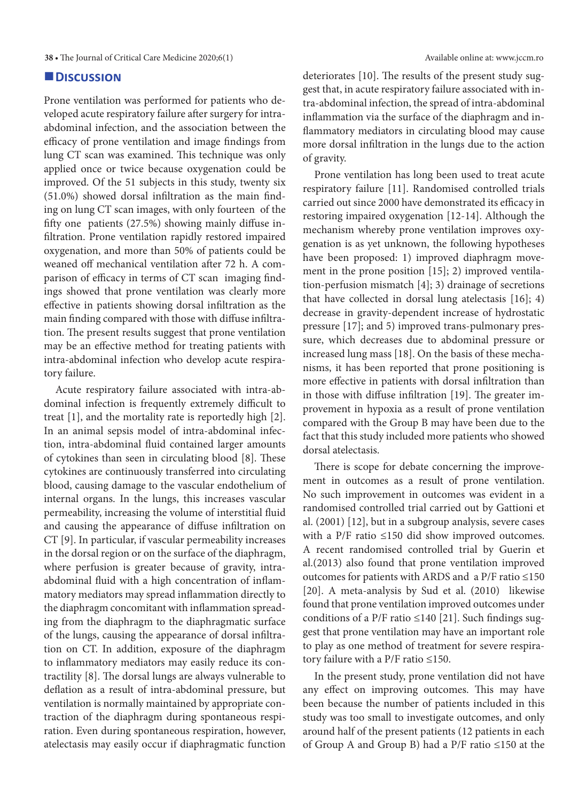### **Discussion**

Prone ventilation was performed for patients who developed acute respiratory failure after surgery for intraabdominal infection, and the association between the efficacy of prone ventilation and image findings from lung CT scan was examined. This technique was only applied once or twice because oxygenation could be improved. Of the 51 subjects in this study, twenty six (51.0%) showed dorsal infiltration as the main finding on lung CT scan images, with only fourteen of the fifty one patients (27.5%) showing mainly diffuse infiltration. Prone ventilation rapidly restored impaired oxygenation, and more than 50% of patients could be weaned off mechanical ventilation after 72 h. A comparison of efficacy in terms of CT scan imaging findings showed that prone ventilation was clearly more effective in patients showing dorsal infiltration as the main finding compared with those with diffuse infiltration. The present results suggest that prone ventilation may be an effective method for treating patients with intra-abdominal infection who develop acute respiratory failure.

Acute respiratory failure associated with intra-abdominal infection is frequently extremely difficult to treat [1], and the mortality rate is reportedly high [2]. In an animal sepsis model of intra-abdominal infection, intra-abdominal fluid contained larger amounts of cytokines than seen in circulating blood [8]. These cytokines are continuously transferred into circulating blood, causing damage to the vascular endothelium of internal organs. In the lungs, this increases vascular permeability, increasing the volume of interstitial fluid and causing the appearance of diffuse infiltration on CT [9]. In particular, if vascular permeability increases in the dorsal region or on the surface of the diaphragm, where perfusion is greater because of gravity, intraabdominal fluid with a high concentration of inflammatory mediators may spread inflammation directly to the diaphragm concomitant with inflammation spreading from the diaphragm to the diaphragmatic surface of the lungs, causing the appearance of dorsal infiltration on CT. In addition, exposure of the diaphragm to inflammatory mediators may easily reduce its contractility [8]. The dorsal lungs are always vulnerable to deflation as a result of intra-abdominal pressure, but ventilation is normally maintained by appropriate contraction of the diaphragm during spontaneous respiration. Even during spontaneous respiration, however, atelectasis may easily occur if diaphragmatic function

deteriorates [10]. The results of the present study suggest that, in acute respiratory failure associated with intra-abdominal infection, the spread of intra-abdominal inflammation via the surface of the diaphragm and inflammatory mediators in circulating blood may cause more dorsal infiltration in the lungs due to the action of gravity.

Prone ventilation has long been used to treat acute respiratory failure [11]. Randomised controlled trials carried out since 2000 have demonstrated its efficacy in restoring impaired oxygenation [12-14]. Although the mechanism whereby prone ventilation improves oxygenation is as yet unknown, the following hypotheses have been proposed: 1) improved diaphragm movement in the prone position [15]; 2) improved ventilation-perfusion mismatch [4]; 3) drainage of secretions that have collected in dorsal lung atelectasis [16]; 4) decrease in gravity-dependent increase of hydrostatic pressure [17]; and 5) improved trans-pulmonary pressure, which decreases due to abdominal pressure or increased lung mass [18]. On the basis of these mechanisms, it has been reported that prone positioning is more effective in patients with dorsal infiltration than in those with diffuse infiltration [19]. The greater improvement in hypoxia as a result of prone ventilation compared with the Group B may have been due to the fact that this study included more patients who showed dorsal atelectasis.

There is scope for debate concerning the improvement in outcomes as a result of prone ventilation. No such improvement in outcomes was evident in a randomised controlled trial carried out by Gattioni et al. (2001) [12], but in a subgroup analysis, severe cases with a P/F ratio ≤150 did show improved outcomes. A recent randomised controlled trial by Guerin et al.(2013) also found that prone ventilation improved outcomes for patients with ARDS and a P/F ratio ≤150 [20]. A meta-analysis by Sud et al. (2010) likewise found that prone ventilation improved outcomes under conditions of a P/F ratio ≤140 [21]. Such findings suggest that prone ventilation may have an important role to play as one method of treatment for severe respiratory failure with a P/F ratio ≤150.

In the present study, prone ventilation did not have any effect on improving outcomes. This may have been because the number of patients included in this study was too small to investigate outcomes, and only around half of the present patients (12 patients in each of Group A and Group B) had a P/F ratio ≤150 at the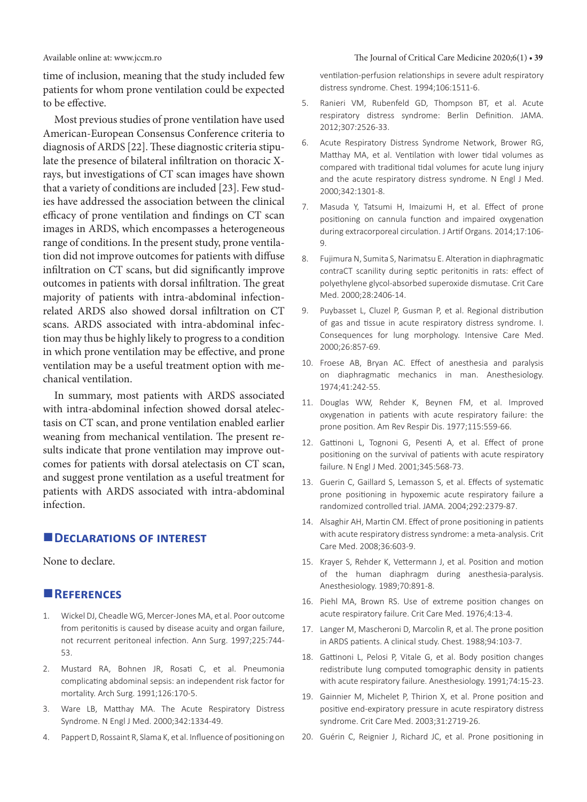#### Available online at: www.jccm.ro The Journal of Critical Care Medicine 2020;6(1) **• 39**

time of inclusion, meaning that the study included few patients for whom prone ventilation could be expected to be effective.

Most previous studies of prone ventilation have used American-European Consensus Conference criteria to diagnosis of ARDS [22]. These diagnostic criteria stipulate the presence of bilateral infiltration on thoracic Xrays, but investigations of CT scan images have shown that a variety of conditions are included [23]. Few studies have addressed the association between the clinical efficacy of prone ventilation and findings on CT scan images in ARDS, which encompasses a heterogeneous range of conditions. In the present study, prone ventilation did not improve outcomes for patients with diffuse infiltration on CT scans, but did significantly improve outcomes in patients with dorsal infiltration. The great majority of patients with intra-abdominal infectionrelated ARDS also showed dorsal infiltration on CT scans. ARDS associated with intra-abdominal infection may thus be highly likely to progress to a condition in which prone ventilation may be effective, and prone ventilation may be a useful treatment option with mechanical ventilation.

In summary, most patients with ARDS associated with intra-abdominal infection showed dorsal atelectasis on CT scan, and prone ventilation enabled earlier weaning from mechanical ventilation. The present results indicate that prone ventilation may improve outcomes for patients with dorsal atelectasis on CT scan, and suggest prone ventilation as a useful treatment for patients with ARDS associated with intra-abdominal infection.

# **EDECLARATIONS OF INTEREST**

None to declare.

# **References**

- 1. Wickel DJ, Cheadle WG, Mercer-Jones MA, et al. Poor outcome from peritonitis is caused by disease acuity and organ failure, not recurrent peritoneal infection. Ann Surg. 1997;225:744- 53.
- 2. Mustard RA, Bohnen JR, Rosati C, et al. Pneumonia complicating abdominal sepsis: an independent risk factor for mortality. Arch Surg. 1991;126:170-5.
- 3. Ware LB, Matthay MA. The Acute Respiratory Distress Syndrome. N Engl J Med. 2000;342:1334-49.
- 4. Pappert D, Rossaint R, Slama K, et al. Influence of positioning on

ventilation-perfusion relationships in severe adult respiratory distress syndrome. Chest. 1994;106:1511-6.

- 5. Ranieri VM, Rubenfeld GD, Thompson BT, et al. Acute respiratory distress syndrome: Berlin Definition. JAMA. 2012;307:2526-33.
- 6. Acute Respiratory Distress Syndrome Network, Brower RG, Matthay MA, et al. Ventilation with lower tidal volumes as compared with traditional tidal volumes for acute lung injury and the acute respiratory distress syndrome. N Engl J Med. 2000;342:1301-8.
- 7. Masuda Y, Tatsumi H, Imaizumi H, et al. Effect of prone positioning on cannula function and impaired oxygenation during extracorporeal circulation. J Artif Organs. 2014;17:106- 9.
- 8. Fujimura N, Sumita S, Narimatsu E. Alteration in diaphragmatic contraCT scanility during septic peritonitis in rats: effect of polyethylene glycol-absorbed superoxide dismutase. Crit Care Med. 2000;28:2406-14.
- 9. Puybasset L, Cluzel P, Gusman P, et al. Regional distribution of gas and tissue in acute respiratory distress syndrome. I. Consequences for lung morphology. Intensive Care Med. 2000;26:857-69.
- 10. Froese AB, Bryan AC. Effect of anesthesia and paralysis on diaphragmatic mechanics in man. Anesthesiology. 1974;41:242-55.
- 11. Douglas WW, Rehder K, Beynen FM, et al. Improved oxygenation in patients with acute respiratory failure: the prone position. Am Rev Respir Dis. 1977;115:559-66.
- 12. Gattinoni L, Tognoni G, Pesenti A, et al. Effect of prone positioning on the survival of patients with acute respiratory failure. N Engl J Med. 2001;345:568-73.
- 13. Guerin C, Gaillard S, Lemasson S, et al. Effects of systematic prone positioning in hypoxemic acute respiratory failure a randomized controlled trial. JAMA. 2004;292:2379-87.
- 14. Alsaghir AH, Martin CM. Effect of prone positioning in patients with acute respiratory distress syndrome: a meta-analysis. Crit Care Med. 2008;36:603-9.
- 15. Krayer S, Rehder K, Vettermann J, et al. Position and motion of the human diaphragm during anesthesia-paralysis. Anesthesiology. 1989;70:891-8.
- 16. Piehl MA, Brown RS. Use of extreme position changes on acute respiratory failure. Crit Care Med. 1976;4:13-4.
- 17. Langer M, Mascheroni D, Marcolin R, et al. The prone position in ARDS patients. A clinical study. Chest. 1988;94:103-7.
- 18. Gattinoni L, Pelosi P, Vitale G, et al. Body position changes redistribute lung computed tomographic density in patients with acute respiratory failure. Anesthesiology. 1991;74:15-23.
- 19. Gainnier M, Michelet P, Thirion X, et al. Prone position and positive end-expiratory pressure in acute respiratory distress syndrome. Crit Care Med. 2003;31:2719-26.
- 20. Guérin C, Reignier J, Richard JC, et al. Prone positioning in